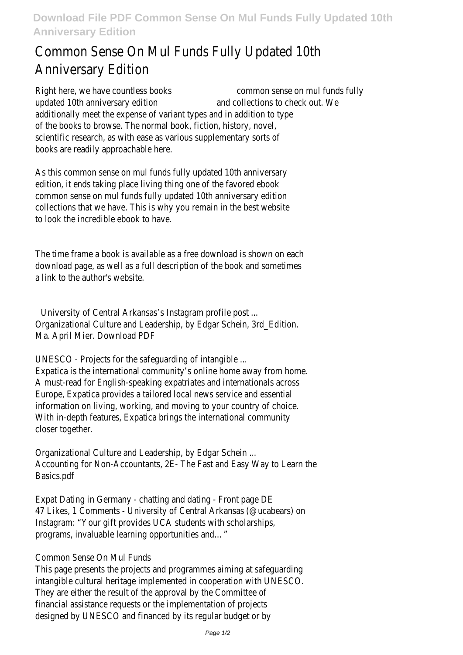## Common Sense On Mul Funds Fully Updated 10th Anniversary Edition

Right here, we have countless books common sense on mul funds fully updated 10th anniversary edition and collections to check out. We additionally meet the expense of variant types and in addition to type of the books to browse. The normal book, fiction, history, novel, scientific research, as with ease as various supplementary sorts of books are readily approachable here.

As this common sense on mul funds fully updated 10th anniversary edition, it ends taking place living thing one of the favored ebook common sense on mul funds fully updated 10th anniversary edition collections that we have. This is why you remain in the best website to look the incredible ebook to have.

The time frame a book is available as a free download is shown on each download page, as well as a full description of the book and sometimes a link to the author's website.

University of Central Arkansas's Instagram profile post ... Organizational Culture and Leadership, by Edgar Schein, 3rd\_Edition. Ma. April Mier. Download PDF

UNESCO - Projects for the safeguarding of intangible ...

Expatica is the international community's online home away from home. A must-read for English-speaking expatriates and internationals across Europe, Expatica provides a tailored local news service and essential information on living, working, and moving to your country of choice. With in-depth features, Expatica brings the international community closer together.

Organizational Culture and Leadership, by Edgar Schein ... Accounting for Non-Accountants, 2E- The Fast and Easy Way to Learn the Basics.pdf

Expat Dating in Germany - chatting and dating - Front page DE 47 Likes, 1 Comments - University of Central Arkansas (@ucabears) on Instagram: "Your gift provides UCA students with scholarships, programs, invaluable learning opportunities and…"

## Common Sense On Mul Funds

This page presents the projects and programmes aiming at safeguarding intangible cultural heritage implemented in cooperation with UNESCO. They are either the result of the approval by the Committee of financial assistance requests or the implementation of projects designed by UNESCO and financed by its regular budget or by